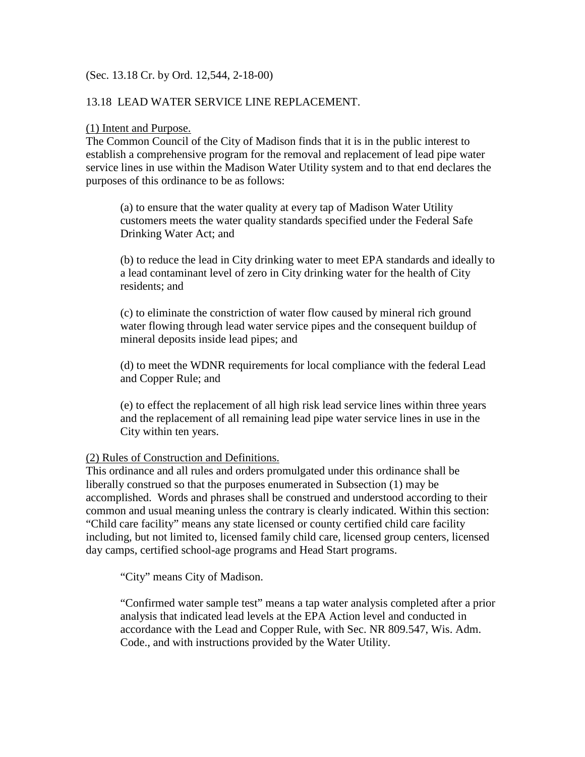# (Sec. 13.18 Cr. by Ord. 12,544, 2-18-00)

# 13.18 LEAD WATER SERVICE LINE REPLACEMENT.

## (1) Intent and Purpose.

The Common Council of the City of Madison finds that it is in the public interest to establish a comprehensive program for the removal and replacement of lead pipe water service lines in use within the Madison Water Utility system and to that end declares the purposes of this ordinance to be as follows:

(a) to ensure that the water quality at every tap of Madison Water Utility customers meets the water quality standards specified under the Federal Safe Drinking Water Act; and

(b) to reduce the lead in City drinking water to meet EPA standards and ideally to a lead contaminant level of zero in City drinking water for the health of City residents; and

(c) to eliminate the constriction of water flow caused by mineral rich ground water flowing through lead water service pipes and the consequent buildup of mineral deposits inside lead pipes; and

(d) to meet the WDNR requirements for local compliance with the federal Lead and Copper Rule; and

(e) to effect the replacement of all high risk lead service lines within three years and the replacement of all remaining lead pipe water service lines in use in the City within ten years.

# (2) Rules of Construction and Definitions.

This ordinance and all rules and orders promulgated under this ordinance shall be liberally construed so that the purposes enumerated in Subsection (1) may be accomplished. Words and phrases shall be construed and understood according to their common and usual meaning unless the contrary is clearly indicated. Within this section: "Child care facility" means any state licensed or county certified child care facility including, but not limited to, licensed family child care, licensed group centers, licensed day camps, certified school-age programs and Head Start programs.

"City" means City of Madison.

"Confirmed water sample test" means a tap water analysis completed after a prior analysis that indicated lead levels at the EPA Action level and conducted in accordance with the Lead and Copper Rule, with Sec. NR 809.547, Wis. Adm. Code., and with instructions provided by the Water Utility.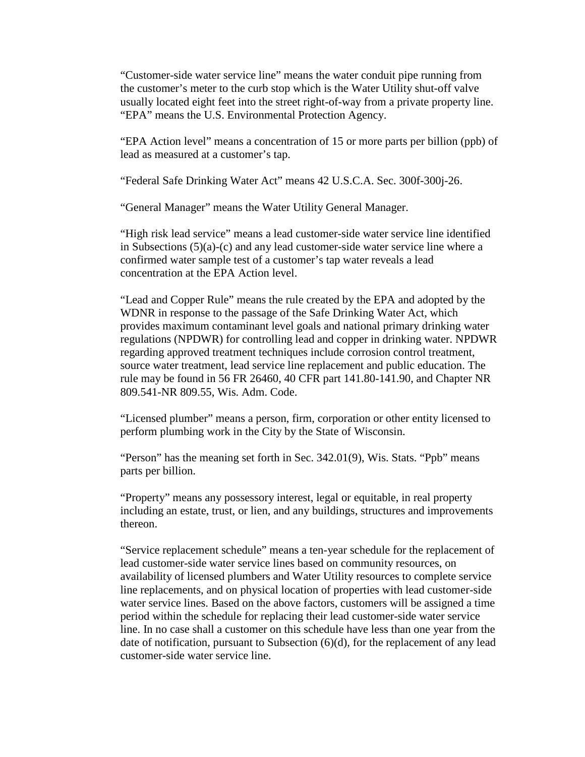"Customer-side water service line" means the water conduit pipe running from the customer's meter to the curb stop which is the Water Utility shut-off valve usually located eight feet into the street right-of-way from a private property line. "EPA" means the U.S. Environmental Protection Agency.

"EPA Action level" means a concentration of 15 or more parts per billion (ppb) of lead as measured at a customer's tap.

"Federal Safe Drinking Water Act" means 42 U.S.C.A. Sec. 300f-300j-26.

"General Manager" means the Water Utility General Manager.

"High risk lead service" means a lead customer-side water service line identified in Subsections (5)(a)-(c) and any lead customer-side water service line where a confirmed water sample test of a customer's tap water reveals a lead concentration at the EPA Action level.

"Lead and Copper Rule" means the rule created by the EPA and adopted by the WDNR in response to the passage of the Safe Drinking Water Act, which provides maximum contaminant level goals and national primary drinking water regulations (NPDWR) for controlling lead and copper in drinking water. NPDWR regarding approved treatment techniques include corrosion control treatment, source water treatment, lead service line replacement and public education. The rule may be found in 56 FR 26460, 40 CFR part 141.80-141.90, and Chapter NR 809.541-NR 809.55, Wis. Adm. Code.

"Licensed plumber" means a person, firm, corporation or other entity licensed to perform plumbing work in the City by the State of Wisconsin.

"Person" has the meaning set forth in Sec. 342.01(9), Wis. Stats. "Ppb" means parts per billion.

"Property" means any possessory interest, legal or equitable, in real property including an estate, trust, or lien, and any buildings, structures and improvements thereon.

"Service replacement schedule" means a ten-year schedule for the replacement of lead customer-side water service lines based on community resources, on availability of licensed plumbers and Water Utility resources to complete service line replacements, and on physical location of properties with lead customer-side water service lines. Based on the above factors, customers will be assigned a time period within the schedule for replacing their lead customer-side water service line. In no case shall a customer on this schedule have less than one year from the date of notification, pursuant to Subsection (6)(d), for the replacement of any lead customer-side water service line.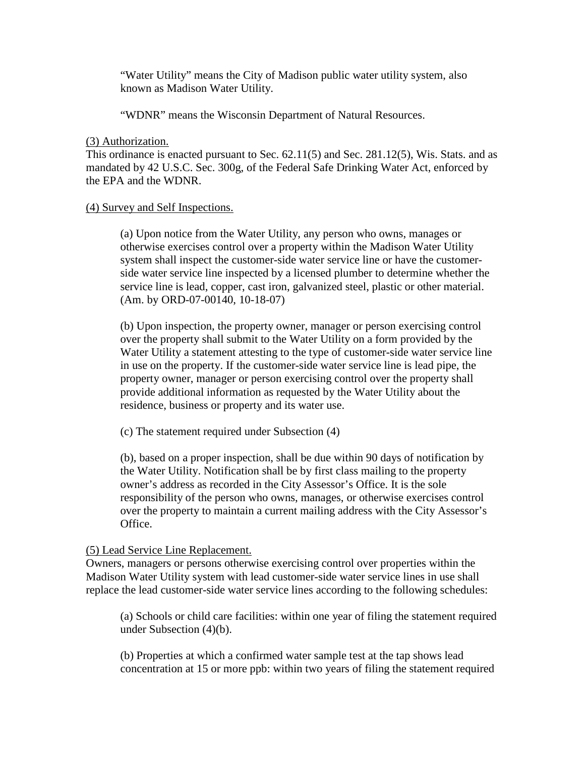"Water Utility" means the City of Madison public water utility system, also known as Madison Water Utility.

"WDNR" means the Wisconsin Department of Natural Resources.

(3) Authorization.

This ordinance is enacted pursuant to Sec. 62.11(5) and Sec. 281.12(5), Wis. Stats. and as mandated by 42 U.S.C. Sec. 300g, of the Federal Safe Drinking Water Act, enforced by the EPA and the WDNR.

# (4) Survey and Self Inspections.

(a) Upon notice from the Water Utility, any person who owns, manages or otherwise exercises control over a property within the Madison Water Utility system shall inspect the customer-side water service line or have the customerside water service line inspected by a licensed plumber to determine whether the service line is lead, copper, cast iron, galvanized steel, plastic or other material. (Am. by ORD-07-00140, 10-18-07)

(b) Upon inspection, the property owner, manager or person exercising control over the property shall submit to the Water Utility on a form provided by the Water Utility a statement attesting to the type of customer-side water service line in use on the property. If the customer-side water service line is lead pipe, the property owner, manager or person exercising control over the property shall provide additional information as requested by the Water Utility about the residence, business or property and its water use.

(c) The statement required under Subsection (4)

(b), based on a proper inspection, shall be due within 90 days of notification by the Water Utility. Notification shall be by first class mailing to the property owner's address as recorded in the City Assessor's Office. It is the sole responsibility of the person who owns, manages, or otherwise exercises control over the property to maintain a current mailing address with the City Assessor's Office.

# (5) Lead Service Line Replacement.

Owners, managers or persons otherwise exercising control over properties within the Madison Water Utility system with lead customer-side water service lines in use shall replace the lead customer-side water service lines according to the following schedules:

(a) Schools or child care facilities: within one year of filing the statement required under Subsection (4)(b).

(b) Properties at which a confirmed water sample test at the tap shows lead concentration at 15 or more ppb: within two years of filing the statement required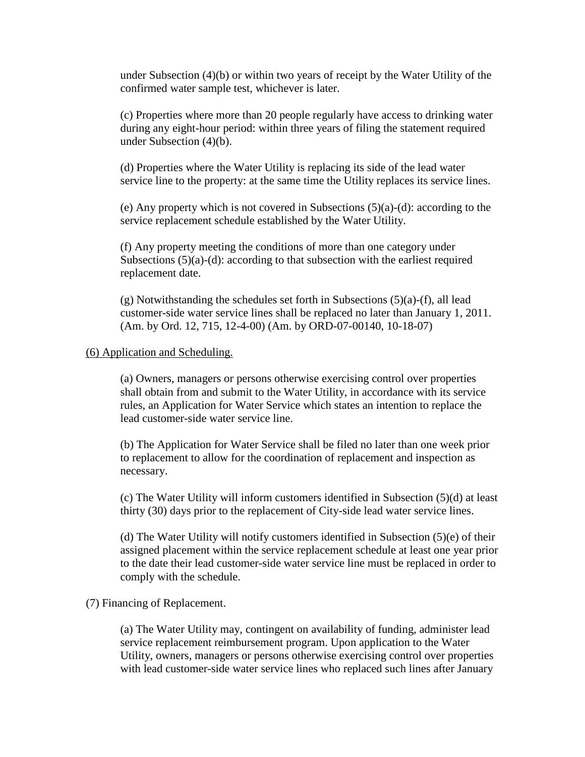under Subsection (4)(b) or within two years of receipt by the Water Utility of the confirmed water sample test, whichever is later.

(c) Properties where more than 20 people regularly have access to drinking water during any eight-hour period: within three years of filing the statement required under Subsection (4)(b).

(d) Properties where the Water Utility is replacing its side of the lead water service line to the property: at the same time the Utility replaces its service lines.

(e) Any property which is not covered in Subsections (5)(a)-(d): according to the service replacement schedule established by the Water Utility.

(f) Any property meeting the conditions of more than one category under Subsections  $(5)(a)-(d)$ : according to that subsection with the earliest required replacement date.

(g) Notwithstanding the schedules set forth in Subsections (5)(a)-(f), all lead customer-side water service lines shall be replaced no later than January 1, 2011. (Am. by Ord. 12, 715, 12-4-00) (Am. by ORD-07-00140, 10-18-07)

# (6) Application and Scheduling.

(a) Owners, managers or persons otherwise exercising control over properties shall obtain from and submit to the Water Utility, in accordance with its service rules, an Application for Water Service which states an intention to replace the lead customer-side water service line.

(b) The Application for Water Service shall be filed no later than one week prior to replacement to allow for the coordination of replacement and inspection as necessary.

(c) The Water Utility will inform customers identified in Subsection (5)(d) at least thirty (30) days prior to the replacement of City-side lead water service lines.

(d) The Water Utility will notify customers identified in Subsection (5)(e) of their assigned placement within the service replacement schedule at least one year prior to the date their lead customer-side water service line must be replaced in order to comply with the schedule.

## (7) Financing of Replacement.

(a) The Water Utility may, contingent on availability of funding, administer lead service replacement reimbursement program. Upon application to the Water Utility, owners, managers or persons otherwise exercising control over properties with lead customer-side water service lines who replaced such lines after January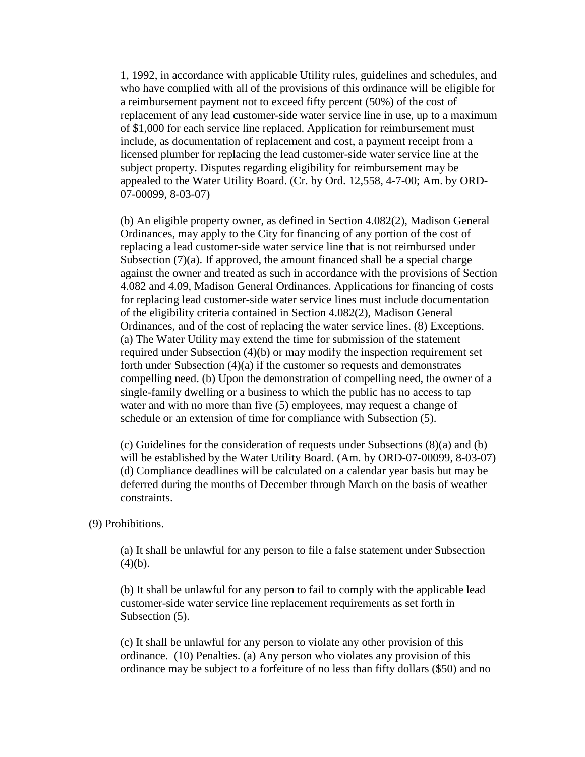1, 1992, in accordance with applicable Utility rules, guidelines and schedules, and who have complied with all of the provisions of this ordinance will be eligible for a reimbursement payment not to exceed fifty percent (50%) of the cost of replacement of any lead customer-side water service line in use, up to a maximum of \$1,000 for each service line replaced. Application for reimbursement must include, as documentation of replacement and cost, a payment receipt from a licensed plumber for replacing the lead customer-side water service line at the subject property. Disputes regarding eligibility for reimbursement may be appealed to the Water Utility Board. (Cr. by Ord. 12,558, 4-7-00; Am. by ORD-07-00099, 8-03-07)

(b) An eligible property owner, as defined in Section 4.082(2), Madison General Ordinances, may apply to the City for financing of any portion of the cost of replacing a lead customer-side water service line that is not reimbursed under Subsection  $(7)(a)$ . If approved, the amount financed shall be a special charge against the owner and treated as such in accordance with the provisions of Section 4.082 and 4.09, Madison General Ordinances. Applications for financing of costs for replacing lead customer-side water service lines must include documentation of the eligibility criteria contained in Section 4.082(2), Madison General Ordinances, and of the cost of replacing the water service lines. (8) Exceptions. (a) The Water Utility may extend the time for submission of the statement required under Subsection (4)(b) or may modify the inspection requirement set forth under Subsection (4)(a) if the customer so requests and demonstrates compelling need. (b) Upon the demonstration of compelling need, the owner of a single-family dwelling or a business to which the public has no access to tap water and with no more than five (5) employees, may request a change of schedule or an extension of time for compliance with Subsection (5).

(c) Guidelines for the consideration of requests under Subsections (8)(a) and (b) will be established by the Water Utility Board. (Am. by ORD-07-00099, 8-03-07) (d) Compliance deadlines will be calculated on a calendar year basis but may be deferred during the months of December through March on the basis of weather constraints.

#### (9) Prohibitions.

(a) It shall be unlawful for any person to file a false statement under Subsection  $(4)(b)$ .

(b) It shall be unlawful for any person to fail to comply with the applicable lead customer-side water service line replacement requirements as set forth in Subsection  $(5)$ .

(c) It shall be unlawful for any person to violate any other provision of this ordinance. (10) Penalties. (a) Any person who violates any provision of this ordinance may be subject to a forfeiture of no less than fifty dollars (\$50) and no